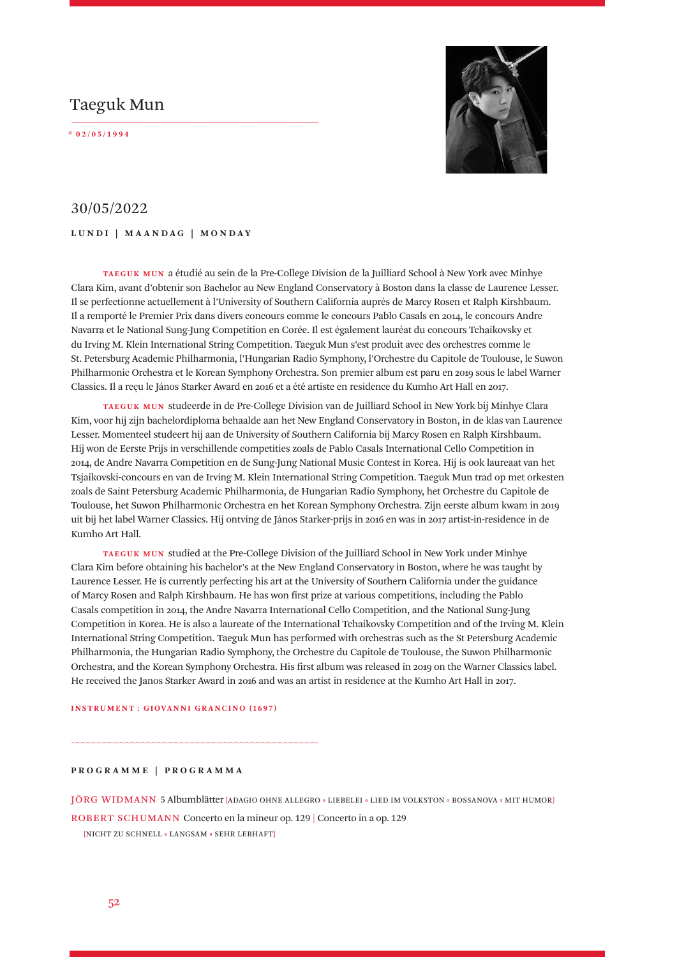# Taeguk Mun

**° 0 2 / 0 5 / 1 9 9 4** 



## 30/05/2022

**LUNDI | MAANDAG | MONDAY**

**TAEGUK MUN** a étudié au sein de la Pre-College Division de la Juilliard School à New York avec Minhye Clara Kim, avant d'obtenir son Bachelor au New England Conservatory à Boston dans la classe de Laurence Lesser. Il se perfectionne actuellement à l'University of Southern California auprès de Marcy Rosen et Ralph Kirshbaum. Il a remporté le Premier Prix dans divers concours comme le concours Pablo Casals en 2014, le concours Andre Navarra et le National Sung-Jung Competition en Corée. Il est également lauréat du concours Tchaikovsky et du Irving M. Klein International String Competition. Taeguk Mun s'est produit avec des orchestres comme le St. Petersburg Academic Philharmonia, l'Hungarian Radio Symphony, l'Orchestre du Capitole de Toulouse, le Suwon Philharmonic Orchestra et le Korean Symphony Orchestra. Son premier album est paru en 2019 sous le label Warner Classics. Il a reçu le János Starker Award en 2016 et a été artiste en residence du Kumho Art Hall en 2017.

**TAEGUK MUN** studeerde in de Pre-College Division van de Juilliard School in New York bij Minhye Clara Kim, voor hij zijn bachelordiploma behaalde aan het New England Conservatory in Boston, in de klas van Laurence Lesser. Momenteel studeert hij aan de University of Southern California bij Marcy Rosen en Ralph Kirshbaum. Hij won de Eerste Prijs in verschillende competities zoals de Pablo Casals International Cello Competition in 2014, de Andre Navarra Competition en de Sung-Jung National Music Contest in Korea. Hij is ook laureaat van het Tsjaikovski-concours en van de Irving M. Klein International String Competition. Taeguk Mun trad op met orkesten zoals de Saint Petersburg Academic Philharmonia, de Hungarian Radio Symphony, het Orchestre du Capitole de Toulouse, het Suwon Philharmonic Orchestra en het Korean Symphony Orchestra. Zijn eerste album kwam in 2019 uit bij het label Warner Classics. Hij ontving de János Starker-prijs in 2016 en was in 2017 artist-in-residence in de Kumho Art Hall.

**TAEGUK MUN** studied at the Pre-College Division of the Juilliard School in New York under Minhye Clara Kim before obtaining his bachelor's at the New England Conservatory in Boston, where he was taught by Laurence Lesser. He is currently perfecting his art at the University of Southern California under the guidance of Marcy Rosen and Ralph Kirshbaum. He has won first prize at various competitions, including the Pablo Casals competition in 2014, the Andre Navarra International Cello Competition, and the National Sung-Jung Competition in Korea. He is also a laureate of the International Tchaikovsky Competition and of the Irving M. Klein International String Competition. Taeguk Mun has performed with orchestras such as the St Petersburg Academic Philharmonia, the Hungarian Radio Symphony, the Orchestre du Capitole de Toulouse, the Suwon Philharmonic Orchestra, and the Korean Symphony Orchestra. His first album was released in 2019 on the Warner Classics label. He received the Janos Starker Award in 2016 and was an artist in residence at the Kumho Art Hall in 2017.

#### **INSTRUMENT : GIOVANNI GRANCINO (1697)**

**PROGRAMME | PROGRAMMA**

JÖRG WIDMANN 5 Albumblätter [ADAGIO OHNE ALLEGRO • LIEBELEI • LIED IM VOLKSTON • BOSSANOVA • MIT HUMOR]

ROBERT SCHUMANN Concerto en la mineur op. 129 | Concerto in a op. 129

[NICHT ZU SCHNELL • LANGSAM • SEHR LEBHAFT]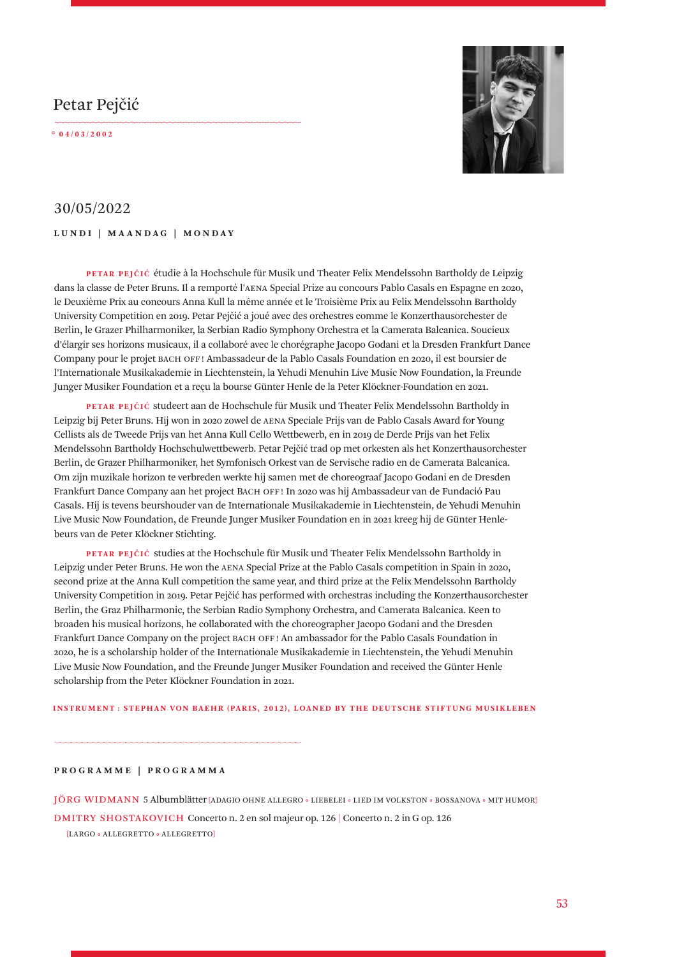# Petar Pejčić

**° 0 4 / 0 3 / 2 0 0 2** 



## 30/05/2022

### **LUNDI | MAANDAG | MONDAY**

**PETAR PEJČIĆ** étudie à la Hochschule für Musik und Theater Felix Mendelssohn Bartholdy de Leipzig dans la classe de Peter Bruns. Il a remporté l'AENA Special Prize au concours Pablo Casals en Espagne en 2020, le Deuxième Prix au concours Anna Kull la même année et le Troisième Prix au Felix Mendelssohn Bartholdy University Competition en 2019. Petar Pejčić a joué avec des orchestres comme le Konzerthausorchester de Berlin, le Grazer Philharmoniker, la Serbian Radio Symphony Orchestra et la Camerata Balcanica. Soucieux d'élargir ses horizons musicaux, il a collaboré avec le chorégraphe Jacopo Godani et la Dresden Frankfurt Dance Company pour le projet BACH OFF ! Ambassadeur de la Pablo Casals Foundation en 2020, il est boursier de l'Internationale Musikakademie in Liechtenstein, la Yehudi Menuhin Live Music Now Foundation, la Freunde Junger Musiker Foundation et a reçu la bourse Günter Henle de la Peter Klöckner-Foundation en 2021.

**PETAR PEJČIĆ** studeert aan de Hochschule für Musik und Theater Felix Mendelssohn Bartholdy in Leipzig bij Peter Bruns. Hij won in 2020 zowel de AENA Speciale Prijs van de Pablo Casals Award for Young Cellists als de Tweede Prijs van het Anna Kull Cello Wettbewerb, en in 2019 de Derde Prijs van het Felix Mendelssohn Bartholdy Hochschulwettbewerb. Petar Pejčić trad op met orkesten als het Konzerthausorchester Berlin, de Grazer Philharmoniker, het Symfonisch Orkest van de Servische radio en de Camerata Balcanica. Om zijn muzikale horizon te verbreden werkte hij samen met de choreograaf Jacopo Godani en de Dresden Frankfurt Dance Company aan het project BACH OFF ! In 2020 was hij Ambassadeur van de Fundació Pau Casals. Hij is tevens beurshouder van de Internationale Musikakademie in Liechtenstein, de Yehudi Menuhin Live Music Now Foundation, de Freunde Junger Musiker Foundation en in 2021 kreeg hij de Günter Henlebeurs van de Peter Klöckner Stichting.

**PETAR PEJČIĆ** studies at the Hochschule für Musik und Theater Felix Mendelssohn Bartholdy in Leipzig under Peter Bruns. He won the AENA Special Prize at the Pablo Casals competition in Spain in 2020, second prize at the Anna Kull competition the same year, and third prize at the Felix Mendelssohn Bartholdy University Competition in 2019. Petar Pejčić has performed with orchestras including the Konzerthausorchester Berlin, the Graz Philharmonic, the Serbian Radio Symphony Orchestra, and Camerata Balcanica. Keen to broaden his musical horizons, he collaborated with the choreographer Jacopo Godani and the Dresden Frankfurt Dance Company on the project BACH OFF ! An ambassador for the Pablo Casals Foundation in 2020, he is a scholarship holder of the Internationale Musikakademie in Liechtenstein, the Yehudi Menuhin Live Music Now Foundation, and the Freunde Junger Musiker Foundation and received the Günter Henle scholarship from the Peter Klöckner Foundation in 2021.

#### **INSTRUMENT : STEPHAN VON BAEHR (PARIS, 2012), LOANED BY THE DEUTSCHE STIFTUNG MUSIKLEBEN**

### **PROGRAMME | PROGRAMMA**

JÖRG WIDMANN 5 Albumblätter [ADAGIO OHNE ALLEGRO • LIEBELEI • LIED IM VOLKSTON • BOSSANOVA • MIT HUMOR]

DMITRY SHOSTAKOVICH Concerto n. 2 en sol majeur op. 126 | Concerto n. 2 in G op. 126

[LARGO • ALLEGRETTO • ALLEGRETTO]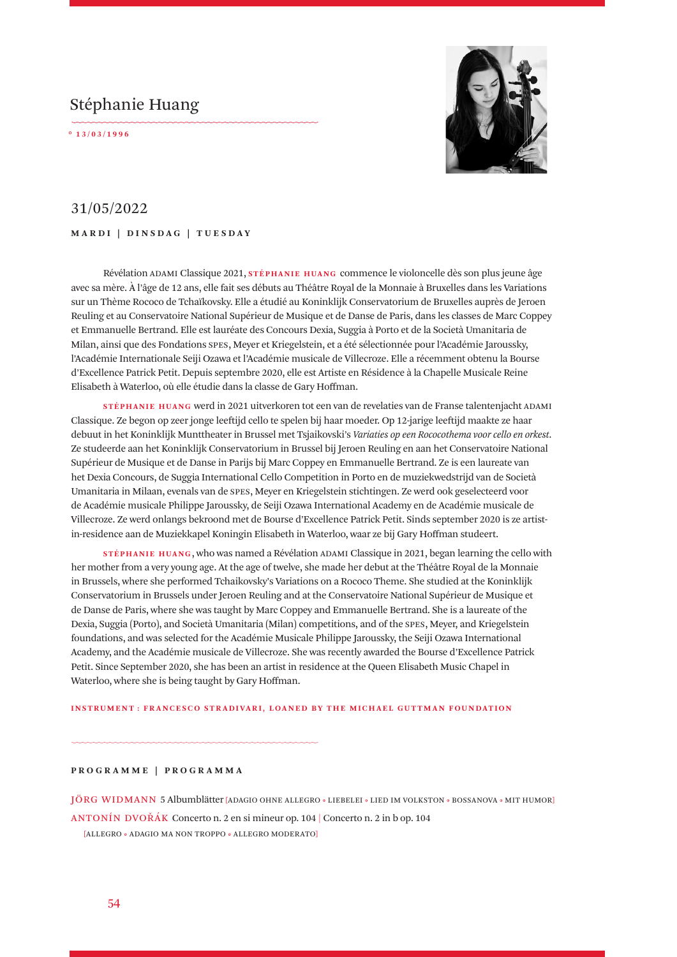# Stéphanie Huang

**° 1 3 / 0 3 / 1 9 9 6** 



## 31/05/2022

### **MARDI | DINSDAG | TUESDAY**

Révélation ADAMI Classique 2021, **STÉPHANIE HUANG** commence le violoncelle dès son plus jeune âge avec sa mère. À l'âge de 12 ans, elle fait ses débuts au Théâtre Royal de la Monnaie à Bruxelles dans les Variations sur un Thème Rococo de Tchaïkovsky. Elle a étudié au Koninklijk Conservatorium de Bruxelles auprès de Jeroen Reuling et au Conservatoire National Supérieur de Musique et de Danse de Paris, dans les classes de Marc Coppey et Emmanuelle Bertrand. Elle est lauréate des Concours Dexia, Suggia à Porto et de la Società Umanitaria de Milan, ainsi que des Fondations SPES, Meyer et Kriegelstein, et a été sélectionnée pour l'Académie Jaroussky, l'Académie Internationale Seiji Ozawa et l'Académie musicale de Villecroze. Elle a récemment obtenu la Bourse d'Excellence Patrick Petit. Depuis septembre 2020, elle est Artiste en Résidence à la Chapelle Musicale Reine Elisabeth à Waterloo, où elle étudie dans la classe de Gary Hoffman.

**STÉPHANIE HUANG** werd in 2021 uitverkoren tot een van de revelaties van de Franse talentenjacht ADAMI Classique. Ze begon op zeer jonge leeftijd cello te spelen bij haar moeder. Op 12-jarige leeftijd maakte ze haar debuut in het Koninklijk Munttheater in Brussel met Tsjaikovski's *Variaties op een Rococothema voor cello en orkest*. Ze studeerde aan het Koninklijk Conservatorium in Brussel bij Jeroen Reuling en aan het Conservatoire National Supérieur de Musique et de Danse in Parijs bij Marc Coppey en Emmanuelle Bertrand. Ze is een laureate van het Dexia Concours, de Suggia International Cello Competition in Porto en de muziekwedstrijd van de Società Umanitaria in Milaan, evenals van de SPES, Meyer en Kriegelstein stichtingen. Ze werd ook geselecteerd voor de Académie musicale Philippe Jaroussky, de Seiji Ozawa International Academy en de Académie musicale de Villecroze. Ze werd onlangs bekroond met de Bourse d'Excellence Patrick Petit. Sinds september 2020 is ze artistin-residence aan de Muziekkapel Koningin Elisabeth in Waterloo, waar ze bij Gary Hoffman studeert.

**STÉPHANIE HUANG** , who was named a Révélation ADAMI Classique in 2021, began learning the cello with her mother from a very young age. At the age of twelve, she made her debut at the Théâtre Royal de la Monnaie in Brussels, where she performed Tchaikovsky's Variations on a Rococo Theme. She studied at the Koninklijk Conservatorium in Brussels under Jeroen Reuling and at the Conservatoire National Supérieur de Musique et de Danse de Paris, where she was taught by Marc Coppey and Emmanuelle Bertrand. She is a laureate of the Dexia, Suggia (Porto), and Società Umanitaria (Milan) competitions, and of the SPES, Meyer, and Kriegelstein foundations, and was selected for the Académie Musicale Philippe Jaroussky, the Seiji Ozawa International Academy, and the Académie musicale de Villecroze. She was recently awarded the Bourse d'Excellence Patrick Petit. Since September 2020, she has been an artist in residence at the Queen Elisabeth Music Chapel in Waterloo, where she is being taught by Gary Hoffman.

#### **INSTRUMENT : FRANCESCO STRADIVARI, LOANED BY THE MICHAEL GUTTMAN FOUNDATION**

### **PROGRAMME | PROGRAMMA**

JÖRG WIDMANN 5 Albumblätter [ADAGIO OHNE ALLEGRO • LIEBELEI • LIED IM VOLKSTON • BOSSANOVA • MIT HUMOR] ANTONÍN DVOŘÁK Concerto n. 2 en si mineur op. 104 | Concerto n. 2 in b op. 104 [ALLEGRO • ADAGIO MA NON TROPPO • ALLEGRO MODERATO]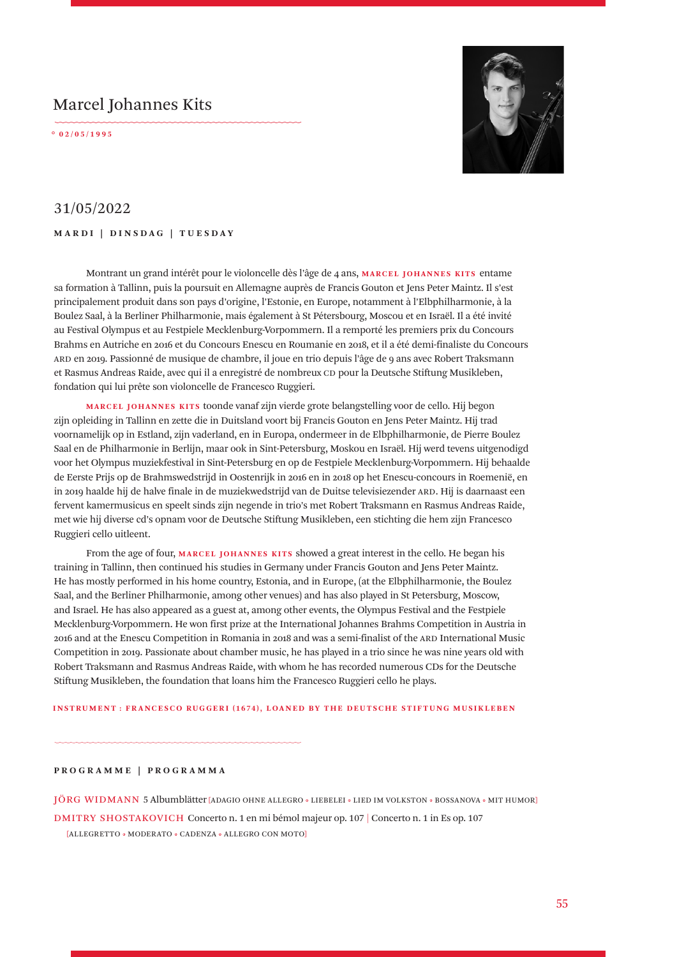# Marcel Johannes Kits

**° 0 2 / 0 5 / 1 9 9 5** 



## 31/05/2022

### **MARDI | DINSDAG | TUESDAY**

Montrant un grand intérêt pour le violoncelle dès l'âge de 4 ans, **MARCEL JOHANNES KITS** entame sa formation à Tallinn, puis la poursuit en Allemagne auprès de Francis Gouton et Jens Peter Maintz. Il s'est principalement produit dans son pays d'origine, l'Estonie, en Europe, notamment à l'Elbphilharmonie, à la Boulez Saal, à la Berliner Philharmonie, mais également à St Pétersbourg, Moscou et en Israël. Il a été invité au Festival Olympus et au Festpiele Mecklenburg-Vorpommern. Il a remporté les premiers prix du Concours Brahms en Autriche en 2016 et du Concours Enescu en Roumanie en 2018, et il a été demi-finaliste du Concours ARD en 2019. Passionné de musique de chambre, il joue en trio depuis l'âge de 9 ans avec Robert Traksmann et Rasmus Andreas Raide, avec qui il a enregistré de nombreux CD pour la Deutsche Stiftung Musikleben, fondation qui lui prête son violoncelle de Francesco Ruggieri.

**MARCEL JOHANNES KITS** toonde vanaf zijn vierde grote belangstelling voor de cello. Hij begon zijn opleiding in Tallinn en zette die in Duitsland voort bij Francis Gouton en Jens Peter Maintz. Hij trad voornamelijk op in Estland, zijn vaderland, en in Europa, ondermeer in de Elbphilharmonie, de Pierre Boulez Saal en de Philharmonie in Berlijn, maar ook in Sint-Petersburg, Moskou en Israël. Hij werd tevens uitgenodigd voor het Olympus muziekfestival in Sint-Petersburg en op de Festpiele Mecklenburg-Vorpommern. Hij behaalde de Eerste Prijs op de Brahmswedstrijd in Oostenrijk in 2016 en in 2018 op het Enescu-concours in Roemenië, en in 2019 haalde hij de halve finale in de muziekwedstrijd van de Duitse televisiezender ARD. Hij is daarnaast een fervent kamermusicus en speelt sinds zijn negende in trio's met Robert Traksmann en Rasmus Andreas Raide, met wie hij diverse cd's opnam voor de Deutsche Stiftung Musikleben, een stichting die hem zijn Francesco Ruggieri cello uitleent.

From the age of four, **MARCEL JOHANNES KITS** showed a great interest in the cello. He began his training in Tallinn, then continued his studies in Germany under Francis Gouton and Jens Peter Maintz. He has mostly performed in his home country, Estonia, and in Europe, (at the Elbphilharmonie, the Boulez Saal, and the Berliner Philharmonie, among other venues) and has also played in St Petersburg, Moscow, and Israel. He has also appeared as a guest at, among other events, the Olympus Festival and the Festpiele Mecklenburg-Vorpommern. He won first prize at the International Johannes Brahms Competition in Austria in 2016 and at the Enescu Competition in Romania in 2018 and was a semi-finalist of the ARD International Music Competition in 2019. Passionate about chamber music, he has played in a trio since he was nine years old with Robert Traksmann and Rasmus Andreas Raide, with whom he has recorded numerous CDs for the Deutsche Stiftung Musikleben, the foundation that loans him the Francesco Ruggieri cello he plays.

#### **INSTRUMENT : FRANCESCO RUGGERI (1674), LOANED BY THE DEUTSCHE STIFTUNG MUSIKLEBEN**

### **PROGRAMME | PROGRAMMA**

JÖRG WIDMANN 5 Albumblätter [ADAGIO OHNE ALLEGRO • LIEBELEI • LIED IM VOLKSTON • BOSSANOVA • MIT HUMOR] DMITRY SHOSTAKOVICH Concerto n. 1 en mi bémol majeur op. 107 | Concerto n. 1 in Es op. 107

[ALLEGRETTO • MODERATO • CADENZA • ALLEGRO CON MOTO]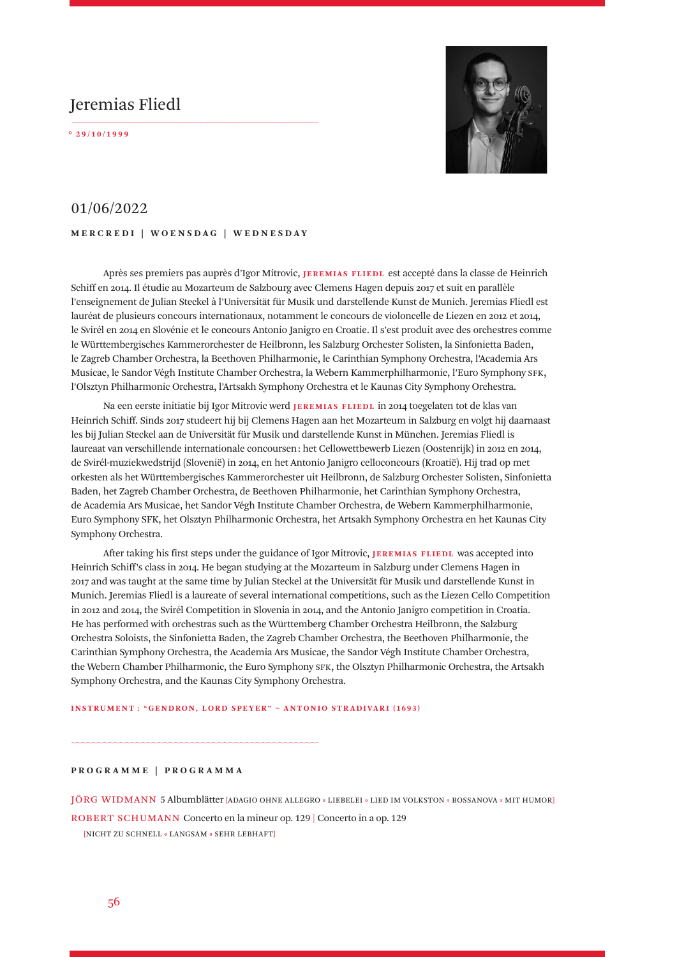# Jeremias Fliedl

**° 2 9 / 1 0 / 1 9 9 9** 



### 01/06/2022

### **MERCREDI | WOENSDAG | WEDNESDAY**

Après ses premiers pas auprès d'Igor Mitrovic, **JEREMIAS FLIEDL** est accepté dans la classe de Heinrich Schiff en 2014. Il étudie au Mozarteum de Salzbourg avec Clemens Hagen depuis 2017 et suit en parallèle l'enseignement de Julian Steckel à l'Universität für Musik und darstellende Kunst de Munich. Jeremias Fliedl est lauréat de plusieurs concours internationaux, notamment le concours de violoncelle de Liezen en 2012 et 2014, le Svirél en 2014 en Slovénie et le concours Antonio Janigro en Croatie. Il s'est produit avec des orchestres comme le Württembergisches Kammerorchester de Heilbronn, les Salzburg Orchester Solisten, la Sinfonietta Baden, le Zagreb Chamber Orchestra, la Beethoven Philharmonie, le Carinthian Symphony Orchestra, l'Academia Ars Musicae, le Sandor Végh Institute Chamber Orchestra, la Webern Kammerphilharmonie, l'Euro Symphony SFK, l'Olsztyn Philharmonic Orchestra, l'Artsakh Symphony Orchestra et le Kaunas City Symphony Orchestra.

Na een eerste initiatie bij Igor Mitrovic werd **JEREMIAS FLIEDL** in 2014 toegelaten tot de klas van Heinrich Schiff. Sinds 2017 studeert hij bij Clemens Hagen aan het Mozarteum in Salzburg en volgt hij daarnaast les bij Julian Steckel aan de Universität für Musik und darstellende Kunst in München. Jeremias Fliedl is laureaat van verschillende internationale concoursen : het Cellowettbewerb Liezen (Oostenrijk) in 2012 en 2014, de Svirél-muziekwedstrijd (Slovenië) in 2014, en het Antonio Janigro celloconcours (Kroatië). Hij trad op met orkesten als het Württembergisches Kammerorchester uit Heilbronn, de Salzburg Orchester Solisten, Sinfonietta Baden, het Zagreb Chamber Orchestra, de Beethoven Philharmonie, het Carinthian Symphony Orchestra, de Academia Ars Musicae, het Sandor Végh Institute Chamber Orchestra, de Webern Kammerphilharmonie, Euro Symphony SFK, het Olsztyn Philharmonic Orchestra, het Artsakh Symphony Orchestra en het Kaunas City Symphony Orchestra.

After taking his first steps under the guidance of Igor Mitrovic, **JEREMIAS FLIEDL** was accepted into Heinrich Schiff's class in 2014. He began studying at the Mozarteum in Salzburg under Clemens Hagen in 2017 and was taught at the same time by Julian Steckel at the Universität für Musik und darstellende Kunst in Munich. Jeremias Fliedl is a laureate of several international competitions, such as the Liezen Cello Competition in 2012 and 2014, the Svirél Competition in Slovenia in 2014, and the Antonio Janigro competition in Croatia. He has performed with orchestras such as the Württemberg Chamber Orchestra Heilbronn, the Salzburg Orchestra Soloists, the Sinfonietta Baden, the Zagreb Chamber Orchestra, the Beethoven Philharmonie, the Carinthian Symphony Orchestra, the Academia Ars Musicae, the Sandor Végh Institute Chamber Orchestra, the Webern Chamber Philharmonic, the Euro Symphony SFK, the Olsztyn Philharmonic Orchestra, the Artsakh Symphony Orchestra, and the Kaunas City Symphony Orchestra.

#### **INSTRUMENT : "GENDRON, LORD SPEYER" – ANTONIO STRADIVARI (1693)**

### **PROGRAMME | PROGRAMMA**

JÖRG WIDMANN 5 Albumblätter [ADAGIO OHNE ALLEGRO • LIEBELEI • LIED IM VOLKSTON • BOSSANOVA • MIT HUMOR]

ROBERT SCHUMANN Concerto en la mineur op. 129 | Concerto in a op. 129

[NICHT ZU SCHNELL • LANGSAM • SEHR LEBHAFT]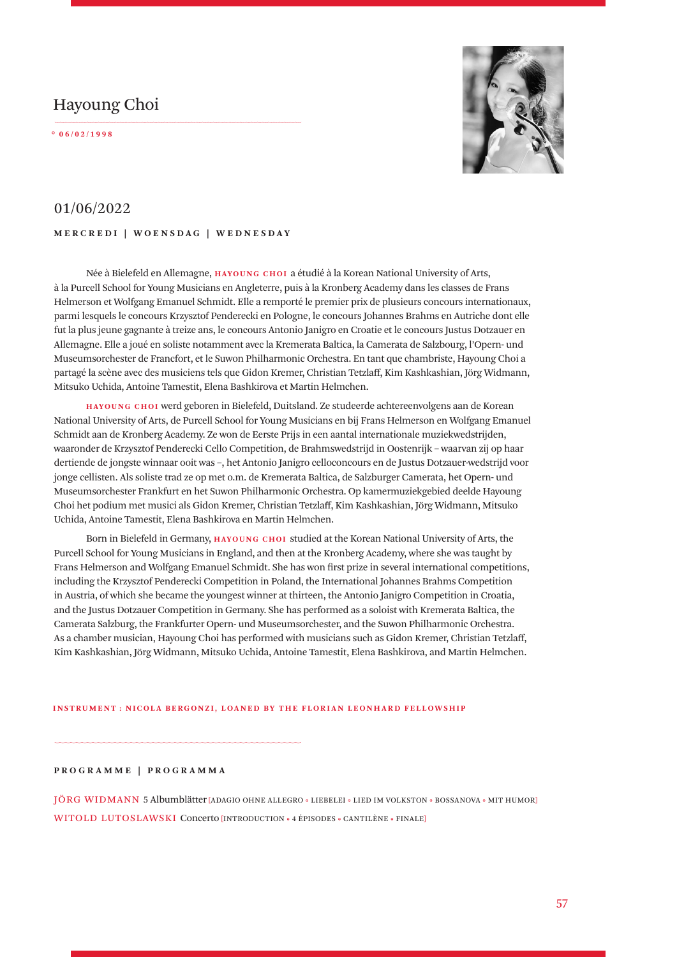# Hayoung Choi

**° 0 6 / 0 2 / 1 9 9 8** 



## 01/06/2022

### **MERCREDI | WOENSDAG | WEDNESDAY**

Née à Bielefeld en Allemagne, **HAYOUNG CHOI** a étudié à la Korean National University of Arts, à la Purcell School for Young Musicians en Angleterre, puis à la Kronberg Academy dans les classes de Frans Helmerson et Wolfgang Emanuel Schmidt. Elle a remporté le premier prix de plusieurs concours internationaux, parmi lesquels le concours Krzysztof Penderecki en Pologne, le concours Johannes Brahms en Autriche dont elle fut la plus jeune gagnante à treize ans, le concours Antonio Janigro en Croatie et le concours Justus Dotzauer en Allemagne. Elle a joué en soliste notamment avec la Kremerata Baltica, la Camerata de Salzbourg, l'Opern- und Museumsorchester de Francfort, et le Suwon Philharmonic Orchestra. En tant que chambriste, Hayoung Choi a partagé la scène avec des musiciens tels que Gidon Kremer, Christian Tetzlaff, Kim Kashkashian, Jörg Widmann, Mitsuko Uchida, Antoine Tamestit, Elena Bashkirova et Martin Helmchen.

**HAYOUNG CHOI** werd geboren in Bielefeld, Duitsland. Ze studeerde achtereenvolgens aan de Korean National University of Arts, de Purcell School for Young Musicians en bij Frans Helmerson en Wolfgang Emanuel Schmidt aan de Kronberg Academy. Ze won de Eerste Prijs in een aantal internationale muziekwedstrijden, waaronder de Krzysztof Penderecki Cello Competition, de Brahmswedstrijd in Oostenrijk – waarvan zij op haar dertiende de jongste winnaar ooit was –, het Antonio Janigro celloconcours en de Justus Dotzauer-wedstrijd voor jonge cellisten. Als soliste trad ze op met o.m. de Kremerata Baltica, de Salzburger Camerata, het Opern- und Museumsorchester Frankfurt en het Suwon Philharmonic Orchestra. Op kamermuziekgebied deelde Hayoung Choi het podium met musici als Gidon Kremer, Christian Tetzlaff, Kim Kashkashian, Jörg Widmann, Mitsuko Uchida, Antoine Tamestit, Elena Bashkirova en Martin Helmchen.

Born in Bielefeld in Germany, **HAYOUNG CHOI** studied at the Korean National University of Arts, the Purcell School for Young Musicians in England, and then at the Kronberg Academy, where she was taught by Frans Helmerson and Wolfgang Emanuel Schmidt. She has won first prize in several international competitions, including the Krzysztof Penderecki Competition in Poland, the International Johannes Brahms Competition in Austria, of which she became the youngest winner at thirteen, the Antonio Janigro Competition in Croatia, and the Justus Dotzauer Competition in Germany. She has performed as a soloist with Kremerata Baltica, the Camerata Salzburg, the Frankfurter Opern- und Museumsorchester, and the Suwon Philharmonic Orchestra. As a chamber musician, Hayoung Choi has performed with musicians such as Gidon Kremer, Christian Tetzlaff, Kim Kashkashian, Jörg Widmann, Mitsuko Uchida, Antoine Tamestit, Elena Bashkirova, and Martin Helmchen.

#### **INSTRUMENT : NICOLA BERGONZI, LOANED BY THE FLORIAN LEONHARD FELLOWSHIP**

#### **PROGRAMME | PROGRAMMA**

JÖRG WIDMANN 5 Albumblätter [ADAGIO OHNE ALLEGRO • LIEBELEI • LIED IM VOLKSTON • BOSSANOVA • MIT HUMOR] WITOLD LUTOSLAWSKI Concerto [INTRODUCTION • 4 ÉPISODES • CANTILÈNE • FINALE]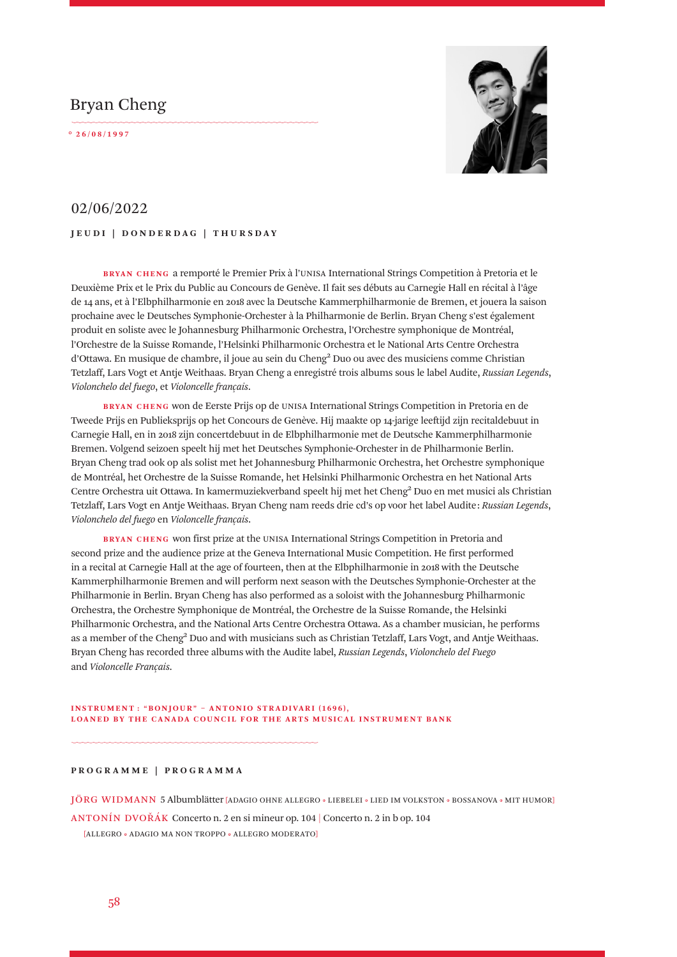# Bryan Cheng

**° 2 6 / 0 8 / 1 9 9 7** 



## 02/06/2022

### **JEUDI | DONDERDAG | THURSDAY**

**BRYAN CHENG** a remporté le Premier Prix à l'UNISA International Strings Competition à Pretoria et le Deuxième Prix et le Prix du Public au Concours de Genève. Il fait ses débuts au Carnegie Hall en récital à l'âge de 14 ans, et à l'Elbphilharmonie en 2018 avec la Deutsche Kammerphilharmonie de Bremen, et jouera la saison prochaine avec le Deutsches Symphonie-Orchester à la Philharmonie de Berlin. Bryan Cheng s'est également produit en soliste avec le Johannesburg Philharmonic Orchestra, l'Orchestre symphonique de Montréal, l'Orchestre de la Suisse Romande, l'Helsinki Philharmonic Orchestra et le National Arts Centre Orchestra d'Ottawa. En musique de chambre, il joue au sein du Cheng² Duo ou avec des musiciens comme Christian Tetzlaff, Lars Vogt et Antje Weithaas. Bryan Cheng a enregistré trois albums sous le label Audite, *Russian Legends*, *Violonchelo del fuego*, et *Violoncelle français*.

**BRYAN CHENG** won de Eerste Prijs op de UNISA International Strings Competition in Pretoria en de Tweede Prijs en Publieksprijs op het Concours de Genève. Hij maakte op 14-jarige leeftijd zijn recitaldebuut in Carnegie Hall, en in 2018 zijn concertdebuut in de Elbphilharmonie met de Deutsche Kammerphilharmonie Bremen. Volgend seizoen speelt hij met het Deutsches Symphonie-Orchester in de Philharmonie Berlin. Bryan Cheng trad ook op als solist met het Johannesburg Philharmonic Orchestra, het Orchestre symphonique de Montréal, het Orchestre de la Suisse Romande, het Helsinki Philharmonic Orchestra en het National Arts Centre Orchestra uit Ottawa. In kamermuziekverband speelt hij met het Cheng² Duo en met musici als Christian Tetzlaff, Lars Vogt en Antje Weithaas. Bryan Cheng nam reeds drie cd's op voor het label Audite : *Russian Legends*, *Violonchelo del fuego* en *Violoncelle français*.

**BRYAN CHENG** won first prize at the UNISA International Strings Competition in Pretoria and second prize and the audience prize at the Geneva International Music Competition. He first performed in a recital at Carnegie Hall at the age of fourteen, then at the Elbphilharmonie in 2018 with the Deutsche Kammerphilharmonie Bremen and will perform next season with the Deutsches Symphonie-Orchester at the Philharmonie in Berlin. Bryan Cheng has also performed as a soloist with the Johannesburg Philharmonic Orchestra, the Orchestre Symphonique de Montréal, the Orchestre de la Suisse Romande, the Helsinki Philharmonic Orchestra, and the National Arts Centre Orchestra Ottawa. As a chamber musician, he performs as a member of the Cheng² Duo and with musicians such as Christian Tetzlaff, Lars Vogt, and Antje Weithaas. Bryan Cheng has recorded three albums with the Audite label, *Russian Legends*, *Violonchelo del Fuego* and *Violoncelle Français*.

#### **INSTRUMENT** : "BONJOUR" - ANTONIO STRADIVARI (1696), **LOANED BY THE CANADA COUNCIL FOR THE ARTS MUSICAL INSTRUMENT BANK**

#### **PROGRAMME | PROGRAMMA**

JÖRG WIDMANN 5 Albumblätter [ADAGIO OHNE ALLEGRO • LIEBELEI • LIED IM VOLKSTON • BOSSANOVA • MIT HUMOR]

ANTONÍN DVOŘÁK Concerto n. 2 en si mineur op. 104 | Concerto n. 2 in b op. 104

[ALLEGRO • ADAGIO MA NON TROPPO • ALLEGRO MODERATO]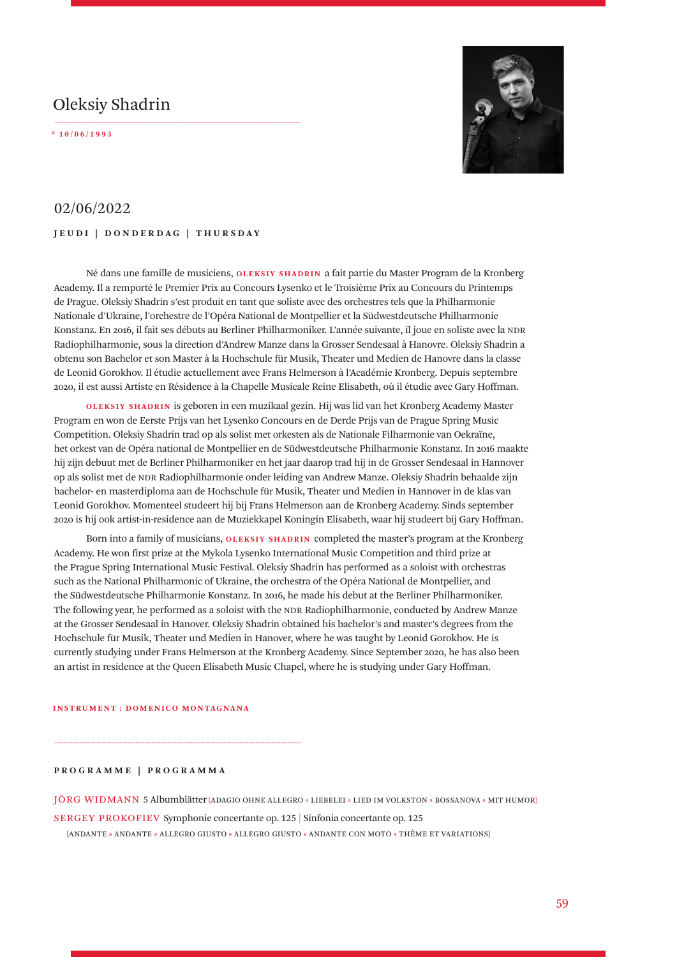# Oleksiy Shadrin

**° 1 0 / 0 6 / 1 9 9 3** 



## 02/06/2022

### **JEUDI | DONDERDAG | THURSDAY**

Né dans une famille de musiciens, **OLEKSIY SHADRIN** a fait partie du Master Program de la Kronberg Academy. Il a remporté le Premier Prix au Concours Lysenko et le Troisième Prix au Concours du Printemps de Prague. Oleksiy Shadrin s'est produit en tant que soliste avec des orchestres tels que la Philharmonie Nationale d'Ukraine, l'orchestre de l'Opéra National de Montpellier et la Südwestdeutsche Philharmonie Konstanz. En 2016, il fait ses débuts au Berliner Philharmoniker. L'année suivante, il joue en soliste avec la NDR Radiophilharmonie, sous la direction d'Andrew Manze dans la Grosser Sendesaal à Hanovre. Oleksiy Shadrin a obtenu son Bachelor et son Master à la Hochschule für Musik, Theater und Medien de Hanovre dans la classe de Leonid Gorokhov. Il étudie actuellement avec Frans Helmerson à l'Académie Kronberg. Depuis septembre 2020, il est aussi Artiste en Résidence à la Chapelle Musicale Reine Elisabeth, où il étudie avec Gary Hoffman.

**OLEKSIY SHADRIN** is geboren in een muzikaal gezin. Hij was lid van het Kronberg Academy Master Program en won de Eerste Prijs van het Lysenko Concours en de Derde Prijs van de Prague Spring Music Competition. Oleksiy Shadrin trad op als solist met orkesten als de Nationale Filharmonie van Oekraïne, het orkest van de Opéra national de Montpellier en de Südwestdeutsche Philharmonie Konstanz. In 2016 maakte hij zijn debuut met de Berliner Philharmoniker en het jaar daarop trad hij in de Grosser Sendesaal in Hannover op als solist met de NDR Radiophilharmonie onder leiding van Andrew Manze. Oleksiy Shadrin behaalde zijn bachelor- en masterdiploma aan de Hochschule für Musik, Theater und Medien in Hannover in de klas van Leonid Gorokhov. Momenteel studeert hij bij Frans Helmerson aan de Kronberg Academy. Sinds september 2020 is hij ook artist-in-residence aan de Muziekkapel Koningin Elisabeth, waar hij studeert bij Gary Hoffman.

Born into a family of musicians, **OLEKSIY SHADRIN** completed the master's program at the Kronberg Academy. He won first prize at the Mykola Lysenko International Music Competition and third prize at the Prague Spring International Music Festival. Oleksiy Shadrin has performed as a soloist with orchestras such as the National Philharmonic of Ukraine, the orchestra of the Opéra National de Montpellier, and the Südwestdeutsche Philharmonie Konstanz. In 2016, he made his debut at the Berliner Philharmoniker. The following year, he performed as a soloist with the NDR Radiophilharmonie, conducted by Andrew Manze at the Grosser Sendesaal in Hanover. Oleksiy Shadrin obtained his bachelor's and master's degrees from the Hochschule für Musik, Theater und Medien in Hanover, where he was taught by Leonid Gorokhov. He is currently studying under Frans Helmerson at the Kronberg Academy. Since September 2020, he has also been an artist in residence at the Queen Elisabeth Music Chapel, where he is studying under Gary Hoffman.

#### **INSTRUMENT : DOMENICO MONTAGNANA**

**PROGRAMME | PROGRAMMA**

JÖRG WIDMANN 5 Albumblätter [ADAGIO OHNE ALLEGRO • LIEBELEI • LIED IM VOLKSTON • BOSSANOVA • MIT HUMOR]

SERGEY PROKOFIEV Symphonie concertante op. 125 | Sinfonia concertante op. 125

[ANDANTE • ANDANTE • ALLEGRO GIUSTO • ALLEGRO GIUSTO • ANDANTE CON MOTO • THÈME ET VARIATIONS]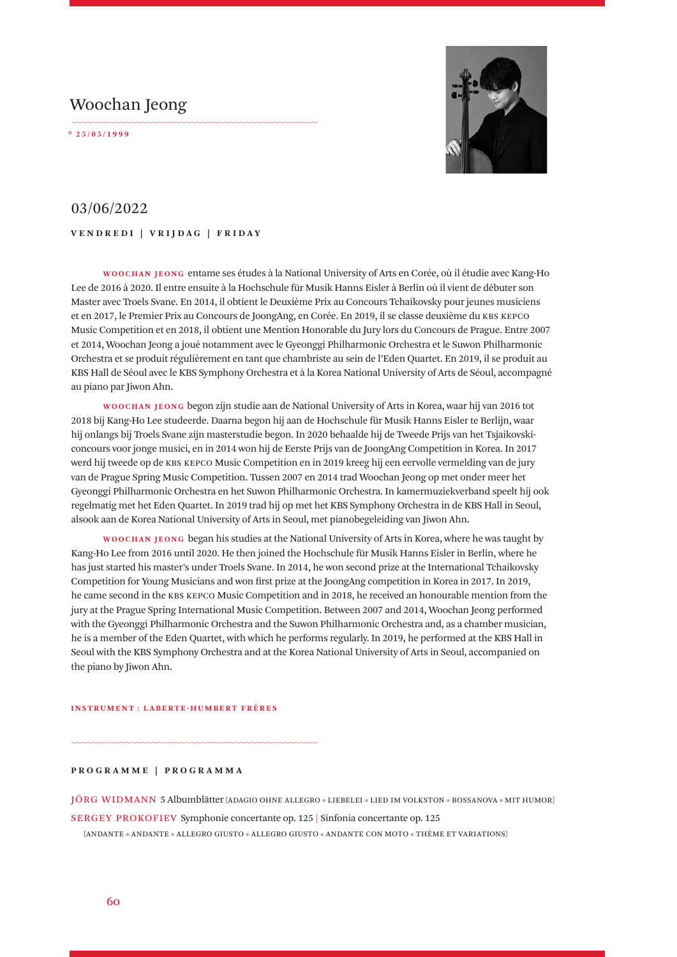# Woochan Jeong

**° 2 5 / 0 5 / 1 9 9 9** 



## 03/06/2022

### **VENDREDI | VRIJDAG | FRIDAY**

**WOOCHAN JEONG** entame ses études à la National University of Arts en Corée, où il étudie avec KangHo Lee de 2016 à 2020. Il entre ensuite à la Hochschule für Musik Hanns Eisler à Berlin où il vient de débuter son Master avec Troels Svane. En 2014, il obtient le Deuxième Prix au Concours Tchaikovsky pour jeunes musiciens et en 2017, le Premier Prix au Concours de JoongAng, en Corée. En 2019, il se classe deuxième du KBS KEPCO Music Competition et en 2018, il obtient une Mention Honorable du Jury lors du Concours de Prague. Entre 2007 et 2014, Woochan Jeong a joué notamment avec le Gyeonggi Philharmonic Orchestra et le Suwon Philharmonic Orchestra et se produit régulièrement en tant que chambriste au sein de l'Eden Quartet. En 2019, il se produit au KBS Hall de Séoul avec le KBS Symphony Orchestra et à la Korea National University of Arts de Séoul, accompagné au piano par Jiwon Ahn.

**WOOCHAN JEONG** begon zijn studie aan de National University of Arts in Korea, waar hij van 2016 tot 2018 bij Kang-Ho Lee studeerde. Daarna begon hij aan de Hochschule für Musik Hanns Eisler te Berlijn, waar hij onlangs bij Troels Svane zijn masterstudie begon. In 2020 behaalde hij de Tweede Prijs van het Tsjaikovskiconcours voor jonge musici, en in 2014 won hij de Eerste Prijs van de JoongAng Competition in Korea. In 2017 werd hij tweede op de KBS KEPCO Music Competition en in 2019 kreeg hij een eervolle vermelding van de jury van de Prague Spring Music Competition. Tussen 2007 en 2014 trad Woochan Jeong op met onder meer het Gyeonggi Philharmonic Orchestra en het Suwon Philharmonic Orchestra. In kamermuziekverband speelt hij ook regelmatig met het Eden Quartet. In 2019 trad hij op met het KBS Symphony Orchestra in de KBS Hall in Seoul, alsook aan de Korea National University of Arts in Seoul, met pianobegeleiding van Jiwon Ahn.

**WOOCHAN JEONG** began his studies at the National University of Arts in Korea, where he was taught by Kang-Ho Lee from 2016 until 2020. He then joined the Hochschule für Musik Hanns Eisler in Berlin, where he has just started his master's under Troels Svane. In 2014, he won second prize at the International Tchaikovsky Competition for Young Musicians and won first prize at the JoongAng competition in Korea in 2017. In 2019, he came second in the KBS KEPCO Music Competition and in 2018, he received an honourable mention from the jury at the Prague Spring International Music Competition. Between 2007 and 2014, Woochan Jeong performed with the Gyeonggi Philharmonic Orchestra and the Suwon Philharmonic Orchestra and, as a chamber musician, he is a member of the Eden Quartet, with which he performs regularly. In 2019, he performed at the KBS Hall in Seoul with the KBS Symphony Orchestra and at the Korea National University of Arts in Seoul, accompanied on the piano by Jiwon Ahn.

#### **INSTRUMENT : LABERTE-HUMBERT FRÈRES**

#### **PROGRAMME | PROGRAMMA**

JÖRG WIDMANN 5 Albumblätter [ADAGIO OHNE ALLEGRO • LIEBELEI • LIED IM VOLKSTON • BOSSANOVA • MIT HUMOR]

SERGEY PROKOFIEV Symphonie concertante op. 125 | Sinfonia concertante op. 125

[ANDANTE • ANDANTE • ALLEGRO GIUSTO • ALLEGRO GIUSTO • ANDANTE CON MOTO • THÈME ET VARIATIONS]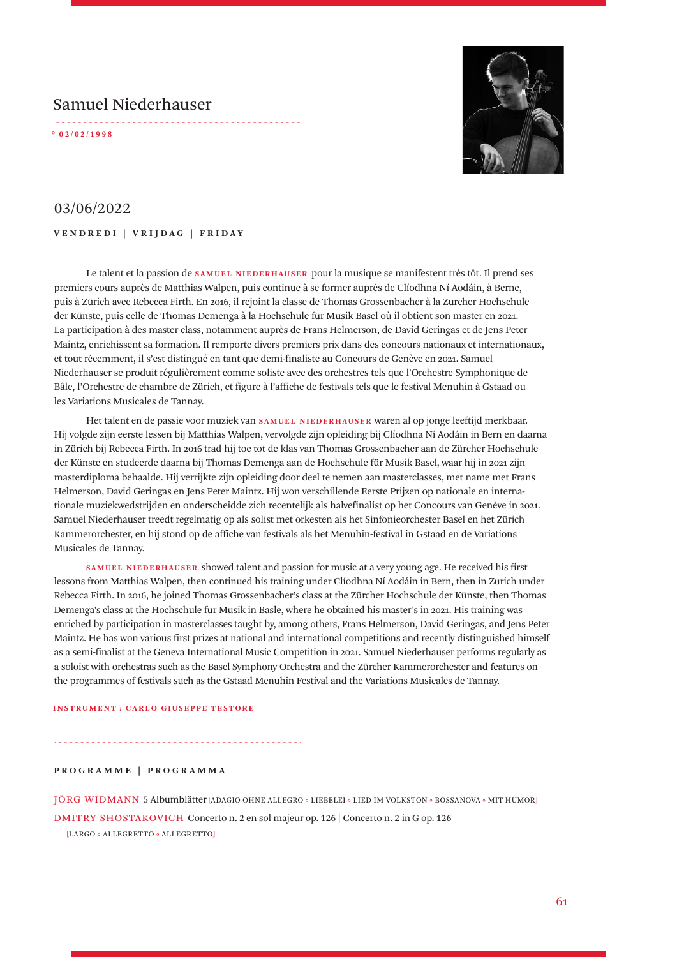# Samuel Niederhauser

**° 0 2 / 0 2 / 1 9 9 8** 



## 03/06/2022

**VENDREDI | VRIJDAG | FRIDAY**

Le talent et la passion de **SAMUEL NIEDERHAUSER** pour la musique se manifestent très tôt. Il prend ses premiers cours auprès de Matthias Walpen, puis continue à se former auprès de Clíodhna Ní Aodáin, à Berne, puis à Zürich avec Rebecca Firth. En 2016, il rejoint la classe de Thomas Grossenbacher à la Zürcher Hochschule der Künste, puis celle de Thomas Demenga à la Hochschule für Musik Basel où il obtient son master en 2021. La participation à des master class, notamment auprès de Frans Helmerson, de David Geringas et de Jens Peter Maintz, enrichissent sa formation. Il remporte divers premiers prix dans des concours nationaux et internationaux, et tout récemment, il s'est distingué en tant que demi-finaliste au Concours de Genève en 2021. Samuel Niederhauser se produit régulièrement comme soliste avec des orchestres tels que l'Orchestre Symphonique de Bâle, l'Orchestre de chambre de Zürich, et figure à l'affiche de festivals tels que le festival Menuhin à Gstaad ou les Variations Musicales de Tannay.

Het talent en de passie voor muziek van **SAMUEL NIEDERHAUSER** waren al op jonge leeftijd merkbaar. Hij volgde zijn eerste lessen bij Matthias Walpen, vervolgde zijn opleiding bij Clíodhna Ní Aodáin in Bern en daarna in Zürich bij Rebecca Firth. In 2016 trad hij toe tot de klas van Thomas Grossenbacher aan de Zürcher Hochschule der Künste en studeerde daarna bij Thomas Demenga aan de Hochschule für Musik Basel, waar hij in 2021 zijn masterdiploma behaalde. Hij verrijkte zijn opleiding door deel te nemen aan masterclasses, met name met Frans Helmerson, David Geringas en Jens Peter Maintz. Hij won verschillende Eerste Prijzen op nationale en internationale muziekwedstrijden en onderscheidde zich recentelijk als halvefinalist op het Concours van Genève in 2021. Samuel Niederhauser treedt regelmatig op als solist met orkesten als het Sinfonieorchester Basel en het Zürich Kammerorchester, en hij stond op de affiche van festivals als het Menuhin-festival in Gstaad en de Variations Musicales de Tannay.

**SAMUEL NIEDERHAUSER** showed talent and passion for music at a very young age. He received his first lessons from Matthias Walpen, then continued his training under Clíodhna Ní Aodáin in Bern, then in Zurich under Rebecca Firth. In 2016, he joined Thomas Grossenbacher's class at the Zürcher Hochschule der Künste, then Thomas Demenga's class at the Hochschule für Musik in Basle, where he obtained his master's in 2021. His training was enriched by participation in masterclasses taught by, among others, Frans Helmerson, David Geringas, and Jens Peter Maintz. He has won various first prizes at national and international competitions and recently distinguished himself as a semi-finalist at the Geneva International Music Competition in 2021. Samuel Niederhauser performs regularly as a soloist with orchestras such as the Basel Symphony Orchestra and the Zürcher Kammerorchester and features on the programmes of festivals such as the Gstaad Menuhin Festival and the Variations Musicales de Tannay.

#### **INSTRUMENT : CARLO GIUSEPPE TESTORE**

### **PROGRAMME | PROGRAMMA**

JÖRG WIDMANN 5 Albumblätter [ADAGIO OHNE ALLEGRO • LIEBELEI • LIED IM VOLKSTON • BOSSANOVA • MIT HUMOR]

DMITRY SHOSTAKOVICH Concerto n. 2 en sol majeur op. 126 | Concerto n. 2 in G op. 126

[LARGO • ALLEGRETTO • ALLEGRETTO]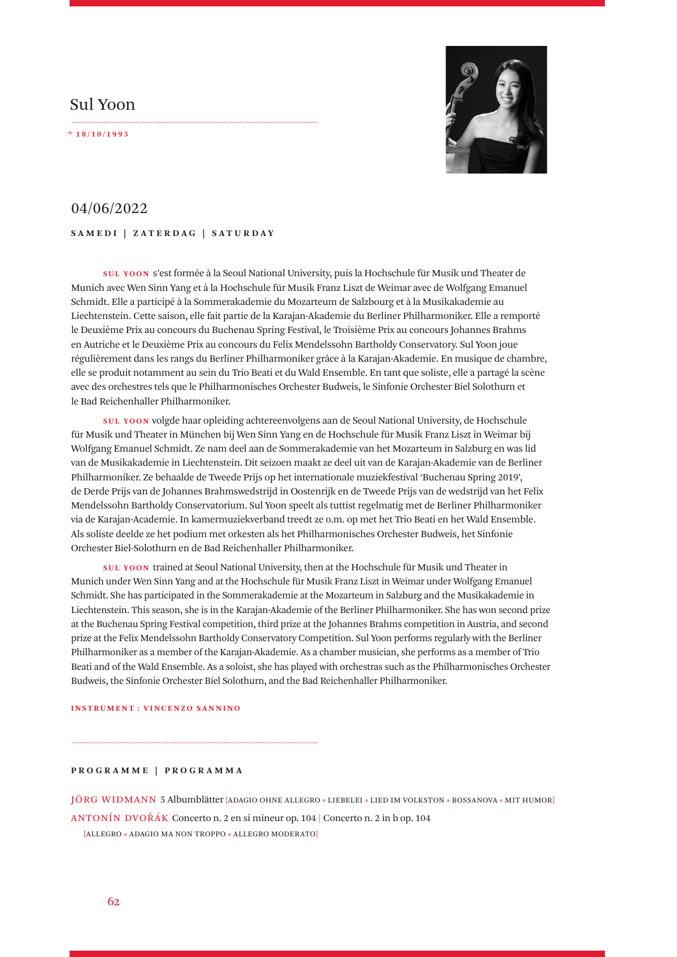## Sul Yoon

**° 1 8 / 1 0 / 1 9 9 5** 



# 04/06/2022

### **SAMEDI | ZATERDAG | SATURDAY**

**SUL YOON** s'est formée à la Seoul National University, puis la Hochschule für Musik und Theater de Munich avec Wen Sinn Yang et à la Hochschule für Musik Franz Liszt de Weimar avec de Wolfgang Emanuel Schmidt. Elle a participé à la Sommerakademie du Mozarteum de Salzbourg et à la Musikakademie au Liechtenstein. Cette saison, elle fait partie de la Karajan-Akademie du Berliner Philharmoniker. Elle a remporté le Deuxième Prix au concours du Buchenau Spring Festival, le Troisième Prix au concours Johannes Brahms en Autriche et le Deuxième Prix au concours du Felix Mendelssohn Bartholdy Conservatory. Sul Yoon joue régulièrement dans les rangs du Berliner Philharmoniker grâce à la Karajan-Akademie. En musique de chambre, elle se produit notamment au sein du Trio Beati et du Wald Ensemble. En tant que soliste, elle a partagé la scène avec des orchestres tels que le Philharmonisches Orchester Budweis, le Sinfonie Orchester Biel Solothurn et le Bad Reichenhaller Philharmoniker.

**SUL YOON** volgde haar opleiding achtereenvolgens aan de Seoul National University, de Hochschule für Musik und Theater in München bij Wen Sinn Yang en de Hochschule für Musik Franz Liszt in Weimar bij Wolfgang Emanuel Schmidt. Ze nam deel aan de Sommerakademie van het Mozarteum in Salzburg en was lid van de Musikakademie in Liechtenstein. Dit seizoen maakt ze deel uit van de Karajan-Akademie van de Berliner Philharmoniker. Ze behaalde de Tweede Prijs op het internationale muziekfestival 'Buchenau Spring 2019', de Derde Prijs van de Johannes Brahmswedstrijd in Oostenrijk en de Tweede Prijs van de wedstrijd van het Felix Mendelssohn Bartholdy Conservatorium. Sul Yoon speelt als tuttist regelmatig met de Berliner Philharmoniker via de Karajan-Academie. In kamermuziekverband treedt ze o.m. op met het Trio Beati en het Wald Ensemble. Als soliste deelde ze het podium met orkesten als het Philharmonisches Orchester Budweis, het Sinfonie Orchester Biel-Solothurn en de Bad Reichenhaller Philharmoniker.

**SUL YOON** trained at Seoul National University, then at the Hochschule für Musik und Theater in Munich under Wen Sinn Yang and at the Hochschule für Musik Franz Liszt in Weimar under Wolfgang Emanuel Schmidt. She has participated in the Sommerakademie at the Mozarteum in Salzburg and the Musikakademie in Liechtenstein. This season, she is in the Karajan-Akademie of the Berliner Philharmoniker. She has won second prize at the Buchenau Spring Festival competition, third prize at the Johannes Brahms competition in Austria, and second prize at the Felix Mendelssohn Bartholdy Conservatory Competition. Sul Yoon performs regularly with the Berliner Philharmoniker as a member of the Karajan-Akademie. As a chamber musician, she performs as a member of Trio Beati and of the Wald Ensemble. As a soloist, she has played with orchestras such as the Philharmonisches Orchester Budweis, the Sinfonie Orchester Biel Solothurn, and the Bad Reichenhaller Philharmoniker.

#### **INSTRUMENT : VINCENZO SANNINO**

**PROGRAMME | PROGRAMMA**

JÖRG WIDMANN 5 Albumblätter [ADAGIO OHNE ALLEGRO • LIEBELEI • LIED IM VOLKSTON • BOSSANOVA • MIT HUMOR]

ANTONÍN DVOŘÁK Concerto n. 2 en si mineur op. 104 | Concerto n. 2 in b op. 104

[ALLEGRO • ADAGIO MA NON TROPPO • ALLEGRO MODERATO]